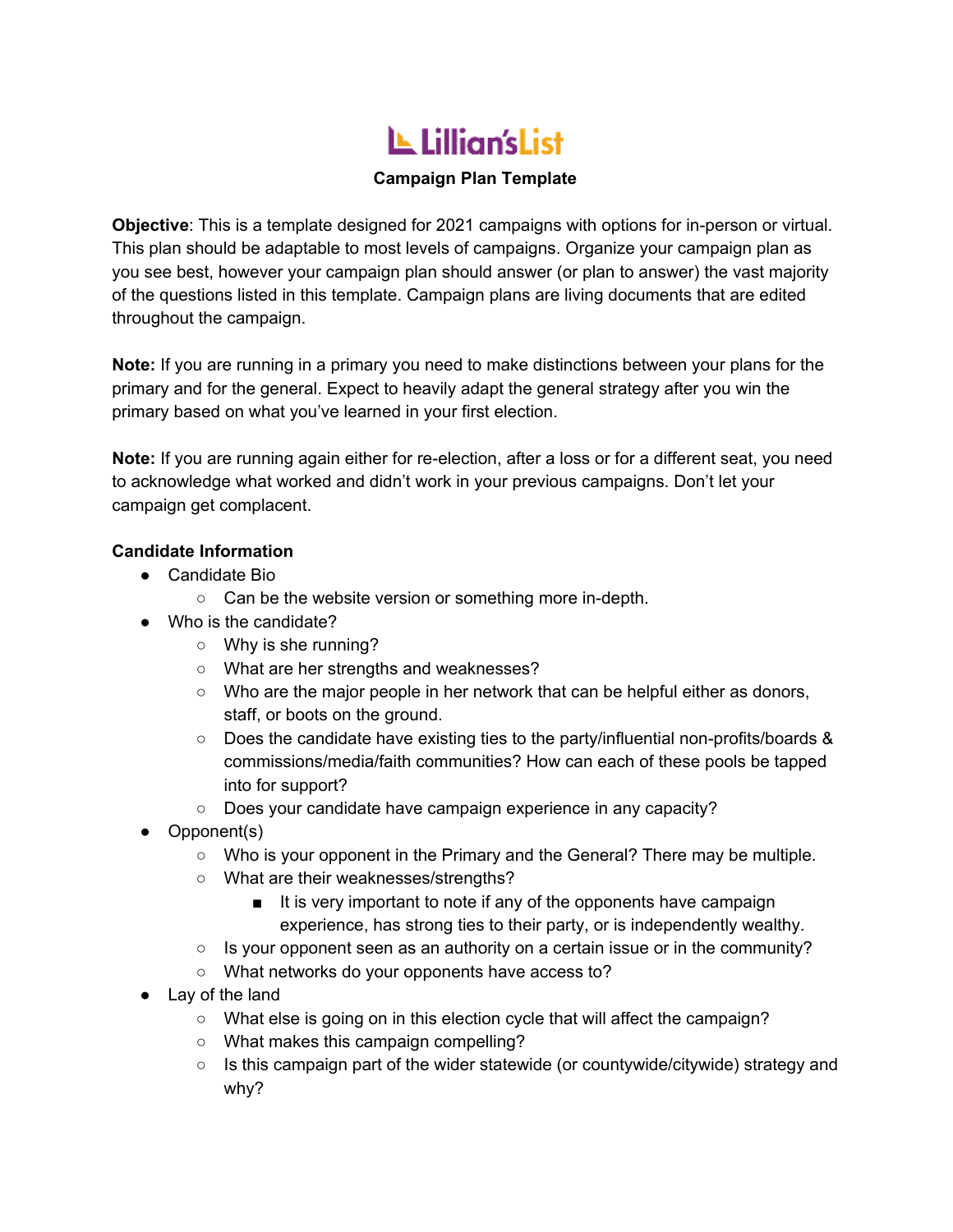# L Lillian's List

# **Campaign Plan Template**

**Objective**: This is a template designed for 2021 campaigns with options for in-person or virtual. This plan should be adaptable to most levels of campaigns. Organize your campaign plan as you see best, however your campaign plan should answer (or plan to answer) the vast majority of the questions listed in this template. Campaign plans are living documents that are edited throughout the campaign.

**Note:** If you are running in a primary you need to make distinctions between your plans for the primary and for the general. Expect to heavily adapt the general strategy after you win the primary based on what you've learned in your first election.

**Note:** If you are running again either for re-election, after a loss or for a different seat, you need to acknowledge what worked and didn't work in your previous campaigns. Don't let your campaign get complacent.

## **Candidate Information**

- Candidate Bio
	- Can be the website version or something more in-depth.
- Who is the candidate?
	- Why is she running?
	- What are her strengths and weaknesses?
	- Who are the major people in her network that can be helpful either as donors, staff, or boots on the ground.
	- Does the candidate have existing ties to the party/influential non-profits/boards & commissions/media/faith communities? How can each of these pools be tapped into for support?
	- Does your candidate have campaign experience in any capacity?
- Opponent(s)
	- Who is your opponent in the Primary and the General? There may be multiple.
	- What are their weaknesses/strengths?
		- It is very important to note if any of the opponents have campaign experience, has strong ties to their party, or is independently wealthy.
	- Is your opponent seen as an authority on a certain issue or in the community?
	- What networks do your opponents have access to?
- Lay of the land
	- What else is going on in this election cycle that will affect the campaign?
	- What makes this campaign compelling?
	- $\circ$  Is this campaign part of the wider statewide (or countywide/citywide) strategy and why?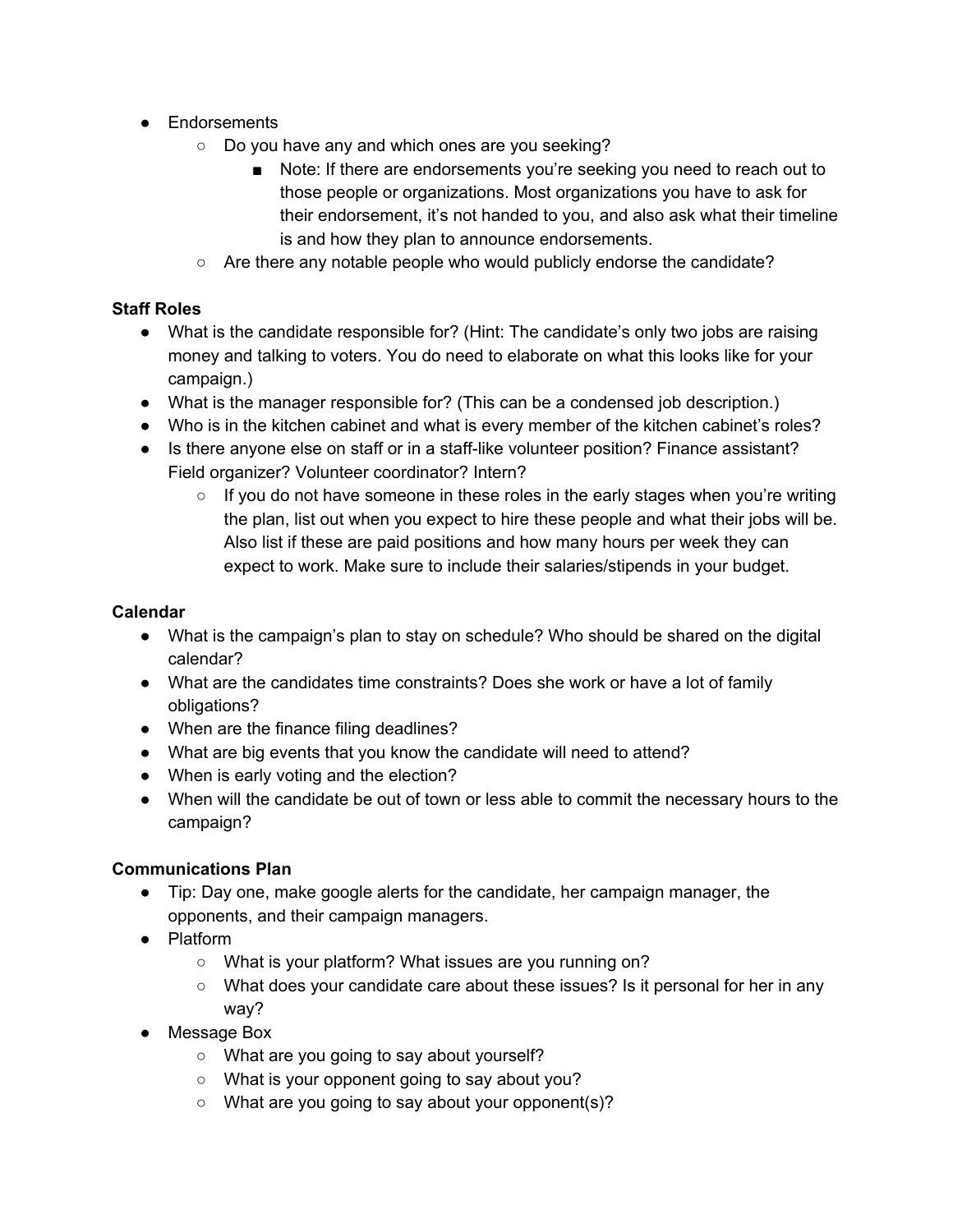- Endorsements
	- Do you have any and which ones are you seeking?
		- Note: If there are endorsements you're seeking you need to reach out to those people or organizations. Most organizations you have to ask for their endorsement, it's not handed to you, and also ask what their timeline is and how they plan to announce endorsements.
	- $\circ$  Are there any notable people who would publicly endorse the candidate?

## **Staff Roles**

- What is the candidate responsible for? (Hint: The candidate's only two jobs are raising money and talking to voters. You do need to elaborate on what this looks like for your campaign.)
- What is the manager responsible for? (This can be a condensed job description.)
- Who is in the kitchen cabinet and what is every member of the kitchen cabinet's roles?
- Is there anyone else on staff or in a staff-like volunteer position? Finance assistant? Field organizer? Volunteer coordinator? Intern?
	- $\circ$  If you do not have someone in these roles in the early stages when you're writing the plan, list out when you expect to hire these people and what their jobs will be. Also list if these are paid positions and how many hours per week they can expect to work. Make sure to include their salaries/stipends in your budget.

# **Calendar**

- What is the campaign's plan to stay on schedule? Who should be shared on the digital calendar?
- What are the candidates time constraints? Does she work or have a lot of family obligations?
- When are the finance filing deadlines?
- What are big events that you know the candidate will need to attend?
- When is early voting and the election?
- When will the candidate be out of town or less able to commit the necessary hours to the campaign?

## **Communications Plan**

- Tip: Day one, make google alerts for the candidate, her campaign manager, the opponents, and their campaign managers.
- Platform
	- What is your platform? What issues are you running on?
	- What does your candidate care about these issues? Is it personal for her in any way?
- Message Box
	- What are you going to say about yourself?
	- What is your opponent going to say about you?
	- What are you going to say about your opponent(s)?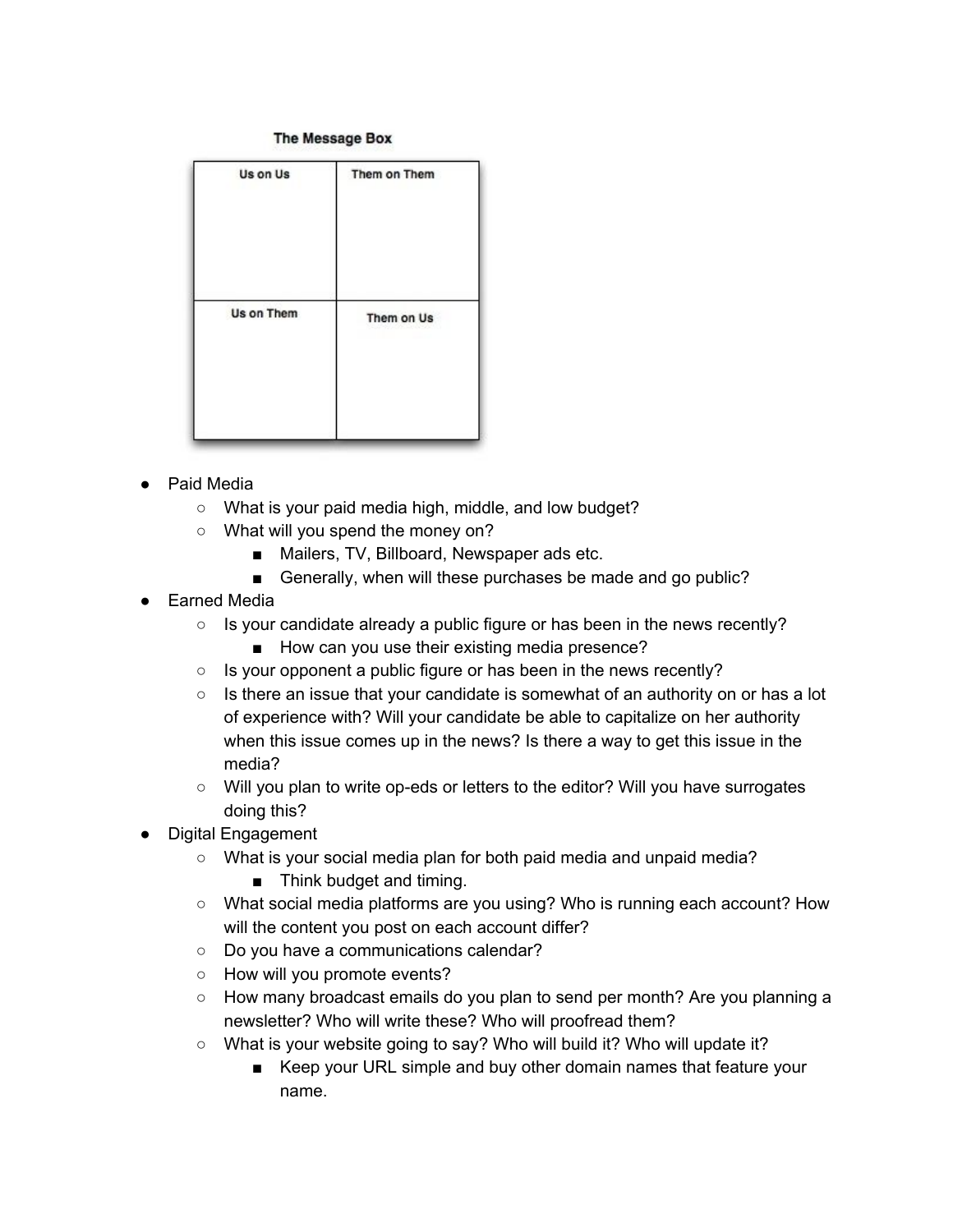#### The Message Box

| Us on Us   | Them on Them |
|------------|--------------|
| Us on Them | Them on Us   |

- Paid Media
	- What is your paid media high, middle, and low budget?
	- What will you spend the money on?
		- Mailers, TV, Billboard, Newspaper ads etc.
		- Generally, when will these purchases be made and go public?
- **Earned Media** 
	- Is your candidate already a public figure or has been in the news recently?
		- How can you use their existing media presence?
	- Is your opponent a public figure or has been in the news recently?
	- $\circ$  Is there an issue that your candidate is somewhat of an authority on or has a lot of experience with? Will your candidate be able to capitalize on her authority when this issue comes up in the news? Is there a way to get this issue in the media?
	- Will you plan to write op-eds or letters to the editor? Will you have surrogates doing this?
- **Digital Engagement** 
	- What is your social media plan for both paid media and unpaid media?
		- Think budget and timing.
	- What social media platforms are you using? Who is running each account? How will the content you post on each account differ?
	- Do you have a communications calendar?
	- How will you promote events?
	- How many broadcast emails do you plan to send per month? Are you planning a newsletter? Who will write these? Who will proofread them?
	- What is your website going to say? Who will build it? Who will update it?
		- Keep your URL simple and buy other domain names that feature your name.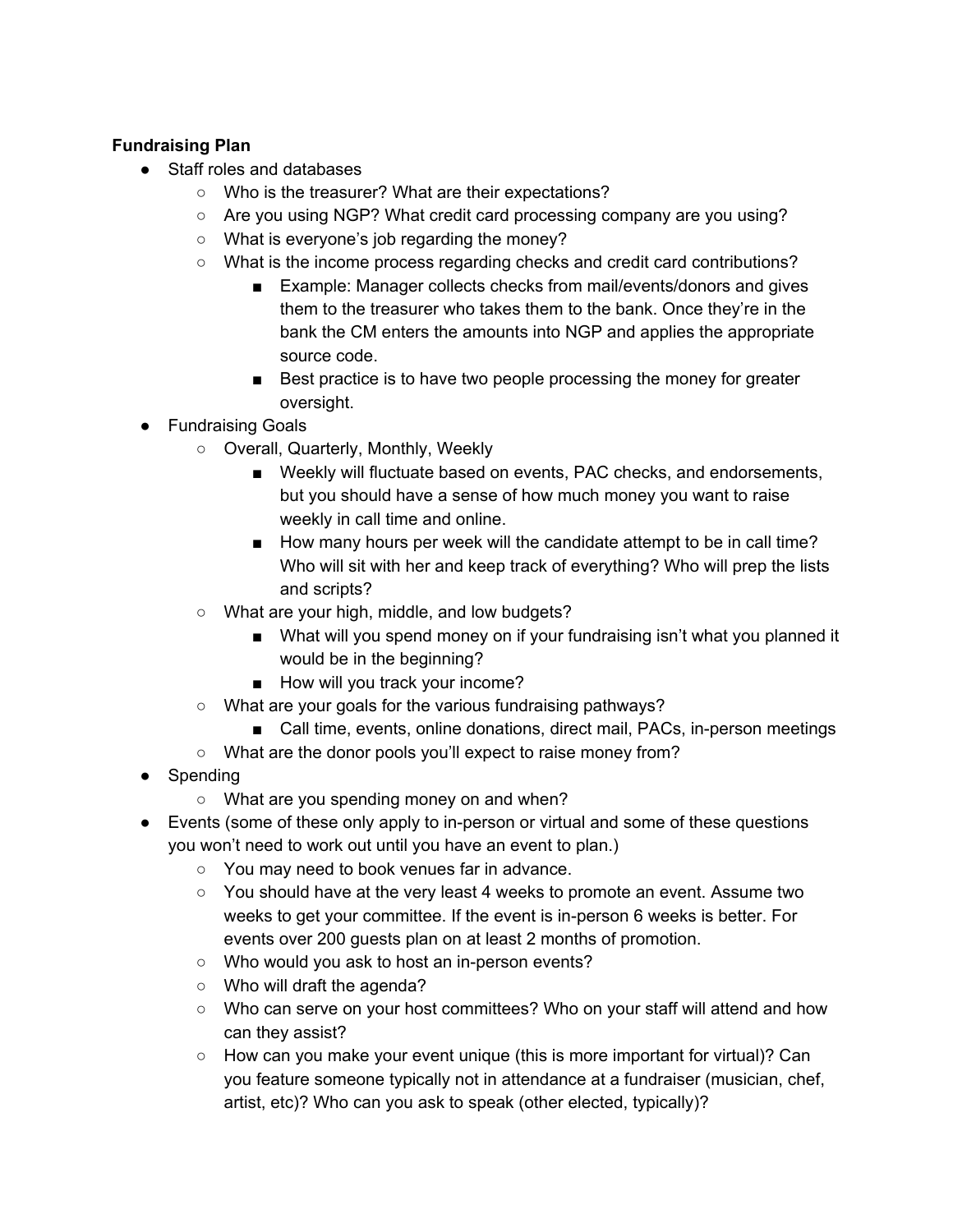# **Fundraising Plan**

- Staff roles and databases
	- Who is the treasurer? What are their expectations?
	- Are you using NGP? What credit card processing company are you using?
	- What is everyone's job regarding the money?
	- What is the income process regarding checks and credit card contributions?
		- Example: Manager collects checks from mail/events/donors and gives them to the treasurer who takes them to the bank. Once they're in the bank the CM enters the amounts into NGP and applies the appropriate source code.
		- Best practice is to have two people processing the money for greater oversight.
- Fundraising Goals
	- Overall, Quarterly, Monthly, Weekly
		- Weekly will fluctuate based on events, PAC checks, and endorsements, but you should have a sense of how much money you want to raise weekly in call time and online.
		- How many hours per week will the candidate attempt to be in call time? Who will sit with her and keep track of everything? Who will prep the lists and scripts?
	- What are your high, middle, and low budgets?
		- What will you spend money on if your fundraising isn't what you planned it would be in the beginning?
		- How will you track your income?
	- What are your goals for the various fundraising pathways?
		- Call time, events, online donations, direct mail, PACs, in-person meetings
	- What are the donor pools you'll expect to raise money from?
- Spending
	- What are you spending money on and when?
- Events (some of these only apply to in-person or virtual and some of these questions you won't need to work out until you have an event to plan.)
	- You may need to book venues far in advance.
	- $\circ$  You should have at the very least 4 weeks to promote an event. Assume two weeks to get your committee. If the event is in-person 6 weeks is better. For events over 200 guests plan on at least 2 months of promotion.
	- Who would you ask to host an in-person events?
	- Who will draft the agenda?
	- Who can serve on your host committees? Who on your staff will attend and how can they assist?
	- How can you make your event unique (this is more important for virtual)? Can you feature someone typically not in attendance at a fundraiser (musician, chef, artist, etc)? Who can you ask to speak (other elected, typically)?